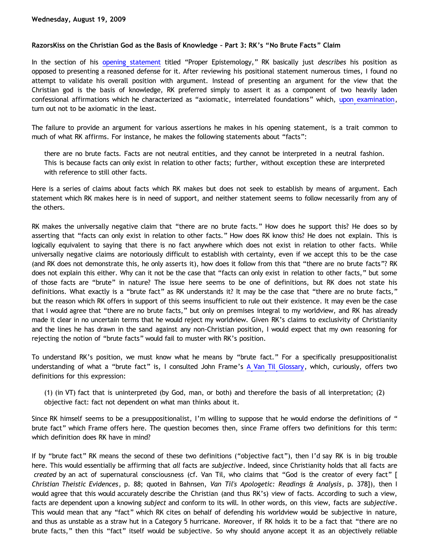## **RazorsKiss on the Christian God as the Basis of Knowledge – Part 3: RK's "No Brute Facts" Claim**

In the section of his [opening statement](http://razorskiss.net/wp/2009/08/08/debate-transcript/) titled "Proper Epistemology," RK basically just *describes* his position as opposed to presenting a reasoned defense for it. After reviewing his positional statement numerous times, I found no attempt to validate his overall position with argument. Instead of presenting an argument for the view that the Christian god is the basis of knowledge, RK preferred simply to assert it as a component of two heavily laden confessional affirmations which he characterized as "axiomatic, interrelated foundations" which, [upon examination](http://bahnsenburner.blogspot.com/2009/08/razorskiss-on-christian-god-as-basis-of_18.html), turn out not to be axiomatic in the least.

The failure to provide an argument for various assertions he makes in his opening statement, is a trait common to much of what RK affirms. For instance, he makes the following statements about "facts":

there are no brute facts. Facts are not neutral entities, and they cannot be interpreted in a neutral fashion. This is because facts can only exist in relation to other facts; further, without exception these are interpreted with reference to still other facts.

Here is a series of claims about facts which RK makes but does not seek to establish by means of argument. Each statement which RK makes here is in need of support, and neither statement seems to follow necessarily from any of the others.

RK makes the universally negative claim that "there are no brute facts." How does he support this? He does so by asserting that "facts can only exist in relation to other facts." How does RK know this? He does not explain. This is logically equivalent to saying that there is no fact anywhere which does not exist in relation to other facts. While universally negative claims are notoriously difficult to establish with certainty, even if we accept this to be the case (and RK does not demonstrate this, he only asserts it), how does it follow from this that "there are no brute facts"? RK does not explain this either. Why can it not be the case that "facts can only exist in relation to other facts," but some of those facts are "brute" in nature? The issue here seems to be one of definitions, but RK does not state his definitions. What exactly is a "brute fact" as RK understands it? It may be the case that "there are no brute facts," but the reason which RK offers in support of this seems insufficient to rule out their existence. It may even be the case that I would agree that "there are no brute facts," but only on premises integral to my worldview, and RK has already made it clear in no uncertain terms that he would reject my worldview. Given RK's claims to exclusivity of Christianity and the lines he has drawn in the sand against any non-Christian position, I would expect that my own reasoning for rejecting the notion of "brute facts" would fail to muster with RK's position.

To understand RK's position, we must know what he means by "brute fact." For a specifically presuppositionalist understanding of what a "brute fact" is, I consulted John Frame's [A Van Til Glossary,](http://www.frame-poythress.org/frame_articles/2000VanTilGlossary.html) which, curiously, offers two definitions for this expression:

(1) (in VT) fact that is uninterpreted (by God, man, or both) and therefore the basis of all interpretation; (2) objective fact: fact not dependent on what man thinks about it.

Since RK himself seems to be a presuppositionalist, I'm willing to suppose that he would endorse the definitions of " brute fact" which Frame offers here. The question becomes then, since Frame offers two definitions for this term: which definition does RK have in mind?

If by "brute fact" RK means the second of these two definitions ("objective fact"), then I'd say RK is in big trouble here. This would essentially be affirming that *all* facts are *subjective*. Indeed, since Christianity holds that all facts are *created* by an act of supernatural consciousness (cf. Van Til, who claims that "God is the creator of every fact" [ *Christian Theistic Evidences*, p. 88; quoted in Bahnsen, *Van Til's Apologetic: Readings & Analysis*, p. 378]), then I would agree that this would accurately describe the Christian (and thus RK's) view of facts. According to such a view, facts are dependent upon a knowing *subject* and conform to its will. In other words, on this view, facts are *subjective*. This would mean that any "fact" which RK cites on behalf of defending his worldview would be subjective in nature, and thus as unstable as a straw hut in a Category 5 hurricane. Moreover, if RK holds it to be a fact that "there are no brute facts," then this "fact" itself would be subjective. So why should anyone accept it as an objectively reliable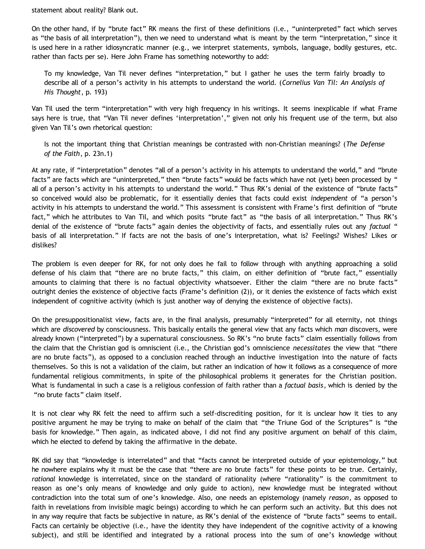statement about reality? Blank out.

On the other hand, if by "brute fact" RK means the first of these definitions (i.e., "uninterpreted" fact which serves as "the basis of all interpretation"), then we need to understand what is meant by the term "interpretation," since it is used here in a rather idiosyncratic manner (e.g., we interpret statements, symbols, language, bodily gestures, etc. rather than facts per se). Here John Frame has something noteworthy to add:

To my knowledge, Van Til never defines "interpretation," but I gather he uses the term fairly broadly to describe all of a person's activity in his attempts to understand the world. (*Cornelius Van Til: An Analysis of His Thought*, p. 193)

Van Til used the term "interpretation" with very high frequency in his writings. It seems inexplicable if what Frame says here is true, that "Van Til never defines 'interpretation'," given not only his frequent use of the term, but also given Van Til's own rhetorical question:

Is not the important thing that Christian meanings be contrasted with non-Christian meanings? (*The Defense of the Faith*, p. 23n.1)

At any rate, if "interpretation" denotes "all of a person's activity in his attempts to understand the world," and "brute facts" are facts which are "uninterpreted," then "brute facts" would be facts which have not (yet) been processed by " all of a person's activity in his attempts to understand the world." Thus RK's denial of the existence of "brute facts" so conceived would also be problematic, for it essentially denies that facts could exist *independent* of "a person's activity in his attempts to understand the world." This assessment is consistent with Frame's first definition of "brute fact," which he attributes to Van Til, and which posits "brute fact" as "the basis of all interpretation." Thus RK's denial of the existence of "brute facts" again denies the objectivity of facts, and essentially rules out any *factual* " basis of all interpretation." If facts are not the basis of one's interpretation, what is? Feelings? Wishes? Likes or dislikes?

The problem is even deeper for RK, for not only does he fail to follow through with anything approaching a solid defense of his claim that "there are no brute facts," this claim, on either definition of "brute fact," essentially amounts to claiming that there is no factual objectivity whatsoever. Either the claim "there are no brute facts" outright denies the existence of objective facts (Frame's definition (2)), or it denies the existence of facts which exist independent of cognitive activity (which is just another way of denying the existence of objective facts).

On the presuppositionalist view, facts are, in the final analysis, presumably "interpreted" for all eternity, not things which are *discovered* by consciousness. This basically entails the general view that any facts which *man* discovers, were already known ("interpreted") by a supernatural consciousness. So RK's "no brute facts" claim essentially follows from the claim that the Christian god is omniscient (i.e., the Christian god's omniscience *necessitates* the view that "there are no brute facts"), as opposed to a conclusion reached through an inductive investigation into the nature of facts themselves. So this is not a validation of the claim, but rather an indication of how it follows as a consequence of more fundamental religious commitments, in spite of the philosophical problems it generates for the Christian position. What is fundamental in such a case is a religious confession of faith rather than a *factual basis*, which is denied by the "no brute facts" claim itself.

It is not clear why RK felt the need to affirm such a self-discrediting position, for it is unclear how it ties to any positive argument he may be trying to make on behalf of the claim that "the Triune God of the Scriptures" is "the basis for knowledge." Then again, as indicated above, I did not find any positive argument on behalf of this claim, which he elected to defend by taking the affirmative in the debate.

RK did say that "knowledge is interrelated" and that "facts cannot be interpreted outside of your epistemology," but he nowhere explains why it must be the case that "there are no brute facts" for these points to be true. Certainly, *rational* knowledge is interrelated, since on the standard of rationality (where "rationality" is the commitment to reason as one's only means of knowledge and only guide to action), new knowledge must be integrated without contradiction into the total sum of one's knowledge. Also, one needs an epistemology (namely *reason*, as opposed to faith in revelations from invisible magic beings) according to which he can perform such an activity. But this does not in any way require that facts be subjective in nature, as RK's denial of the existence of "brute facts" seems to entail. Facts can certainly be objective (i.e., have the identity they have independent of the cognitive activity of a knowing subject), and still be identified and integrated by a rational process into the sum of one's knowledge without